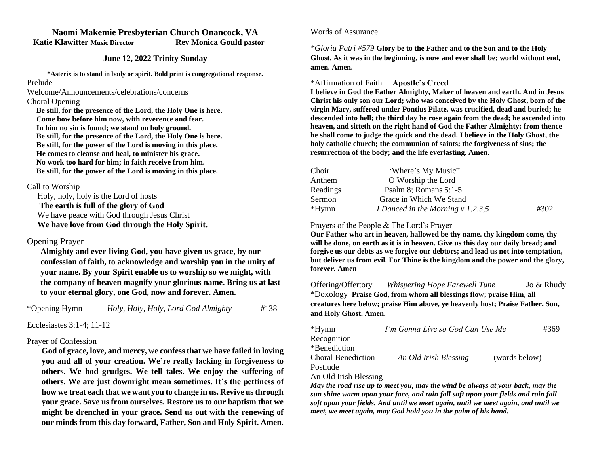## **Naomi Makemie Presbyterian Church Onancock, VA Katie Klawitter Music Director Rev Monica Gould pastor**

**June 12, 2022 Trinity Sunday**

**\*Asterix is to stand in body or spirit. Bold print is congregational response.**

#### Prelude

Welcome/Announcements/celebrations/concerns Choral Opening

 **Be still, for the presence of the Lord, the Holy One is here. Come bow before him now, with reverence and fear. In him no sin is found; we stand on holy ground. Be still, for the presence of the Lord, the Holy One is here. Be still, for the power of the Lord is moving in this place. He comes to cleanse and heal, to minister his grace. No work too hard for him; in faith receive from him. Be still, for the power of the Lord is moving in this place.**

### Call to Worship

 Holy, holy, holy is the Lord of hosts  **The earth is full of the glory of God** We have peace with God through Jesus Christ  **We have love from God through the Holy Spirit.**

## Opening Prayer

**Almighty and ever-living God, you have given us grace, by our confession of faith, to acknowledge and worship you in the unity of your name. By your Spirit enable us to worship so we might, with the company of heaven magnify your glorious name. Bring us at last to your eternal glory, one God, now and forever. Amen.**

\*Opening Hymn *Holy, Holy, Holy, Lord God Almighty* #138

Ecclesiastes 3:1-4; 11-12

# Prayer of Confession

**God of grace, love, and mercy, we confess that we have failed in loving you and all of your creation. We're really lacking in forgiveness to others. We hod grudges. We tell tales. We enjoy the suffering of others. We are just downright mean sometimes. It's the pettiness of how we treat each that we want you to change in us. Revive us through your grace. Save us from ourselves. Restore us to our baptism that we might be drenched in your grace. Send us out with the renewing of our minds from this day forward, Father, Son and Holy Spirit. Amen.** 

### Words of Assurance

*\*Gloria Patri #579* **Glory be to the Father and to the Son and to the Holy Ghost. As it was in the beginning, is now and ever shall be; world without end, amen. Amen.** 

### \*Affirmation of Faith **Apostle's Creed**

**I believe in God the Father Almighty, Maker of heaven and earth. And in Jesus Christ his only son our Lord; who was conceived by the Holy Ghost, born of the virgin Mary, suffered under Pontius Pilate, was crucified, dead and buried; he descended into hell; the third day he rose again from the dead; he ascended into heaven, and sitteth on the right hand of God the Father Almighty; from thence he shall come to judge the quick and the dead. I believe in the Holy Ghost, the holy catholic church; the communion of saints; the forgiveness of sins; the resurrection of the body; and the life everlasting. Amen.**

| Choir    | 'Where's My Music"                         |      |
|----------|--------------------------------------------|------|
| Anthem   | O Worship the Lord                         |      |
| Readings | Psalm 8; Romans $5:1-5$                    |      |
| Sermon   | Grace in Which We Stand                    |      |
| *Hymn    | <i>I</i> Danced in the Morning $v.1,2,3,5$ | #302 |

## Prayers of the People & The Lord's Prayer

**Our Father who art in heaven, hallowed be thy name. thy kingdom come, thy will be done, on earth as it is in heaven. Give us this day our daily bread; and forgive us our debts as we forgive our debtors; and lead us not into temptation, but deliver us from evil. For Thine is the kingdom and the power and the glory, forever. Amen**

Offering/Offertory *Whispering Hope Farewell Tune* Jo & Rhudy \*Doxology **Praise God, from whom all blessings flow; praise Him, all creatures here below; praise Him above, ye heavenly host; Praise Father, Son, and Holy Ghost. Amen.** 

| $*Hymn$               | I'm Gonna Live so God Can Use Me |               |  |
|-----------------------|----------------------------------|---------------|--|
| Recognition           |                                  |               |  |
| *Benediction          |                                  |               |  |
| Choral Benediction    | An Old Irish Blessing            | (words below) |  |
| Postlude              |                                  |               |  |
| An Old Irish Blessing |                                  |               |  |

*May the road rise up to meet you, may the wind be always at your back, may the sun shine warm upon your face, and rain fall soft upon your fields and rain fall soft upon your fields. And until we meet again, until we meet again, and until we meet, we meet again, may God hold you in the palm of his hand.*